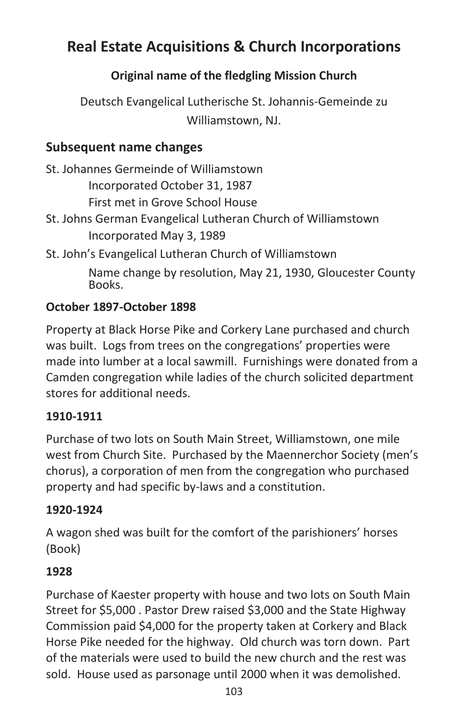# **Real Estate Acquisitions & Church Incorporations**

# **Original name of the fledgling Mission Church**

Deutsch Evangelical Lutherische St. Johannis-Gemeinde zu Williamstown, NJ.

## **Subsequent name changes**

St. Johannes Germeinde of Williamstown Incorporated October 31, 1987 First met in Grove School House St. Johns German Evangelical Lutheran Church of Williamstown

Incorporated May 3, 1989

St. John's Evangelical Lutheran Church of Williamstown

Name change by resolution, May 21, 1930, Gloucester County Books.

### October 1897-October 1898

Property at Black Horse Pike and Corkery Lane purchased and church was built. Logs from trees on the congregations' properties were made into lumber at a local sawmill. Furnishings were donated from a Camden congregation while ladies of the church solicited department stores for additional needs.

#### **1910B1911**

Purchase of two lots on South Main Street, Williamstown, one mile west from Church Site. Purchased by the Maennerchor Society (men's chorus), a corporation of men from the congregation who purchased property and had specific by-laws and a constitution.

#### **1920B1924**

A wagon shed was built for the comfort of the parishioners' horses (Book)

#### **1928**

Purchase of Kaester property with house and two lots on South Main Street for \$5,000 . Pastor Drew raised \$3,000 and the State Highway Commission paid \$4,000 for the property taken at Corkery and Black Horse Pike needed for the highway. Old church was torn down. Part of the materials were used to build the new church and the rest was sold. House used as parsonage until 2000 when it was demolished.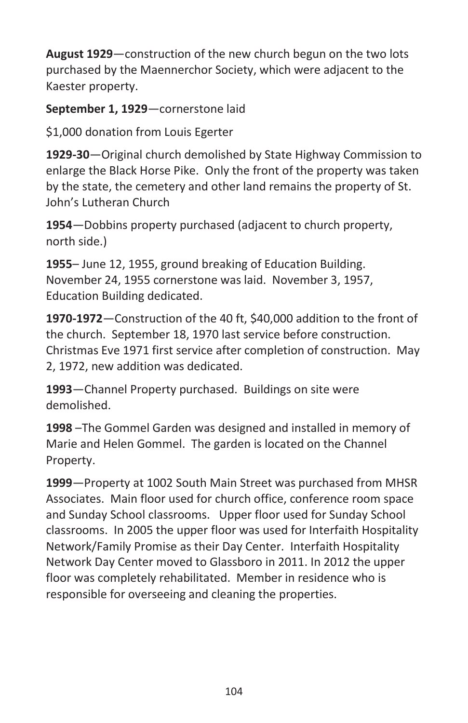August 1929–construction of the new church begun on the two lots purchased by the Maennerchor Society, which were adjacent to the Kaester property.

September 1, 1929–cornerstone laid

\$1,000 donation from Louis Egerter

1929-30 – Original church demolished by State Highway Commission to enlarge the Black Horse Pike. Only the front of the property was taken by the state, the cemetery and other land remains the property of St. John's Lutheran Church

1954–Dobbins property purchased (adjacent to church property, north side.)

**1955** – June 12, 1955, ground breaking of Education Building. November 24, 1955 cornerstone was laid. November 3, 1957, Education Building dedicated.

1970-1972 – Construction of the 40 ft, \$40,000 addition to the front of the church. September 18, 1970 last service before construction. Christmas Eve 1971 first service after completion of construction. May 2, 1972, new addition was dedicated.

1993–Channel Property purchased. Buildings on site were demolished.!!

**1998** – The Gommel Garden was designed and installed in memory of Marie and Helen Gommel. The garden is located on the Channel Property.

1999-Property at 1002 South Main Street was purchased from MHSR Associates. Main floor used for church office, conference room space and Sunday School classrooms. Upper floor used for Sunday School classrooms. In 2005 the upper floor was used for Interfaith Hospitality Network/Family Promise as their Day Center. Interfaith Hospitality Network Day Center moved to Glassboro in 2011. In 2012 the upper floor was completely rehabilitated. Member in residence who is responsible for overseeing and cleaning the properties.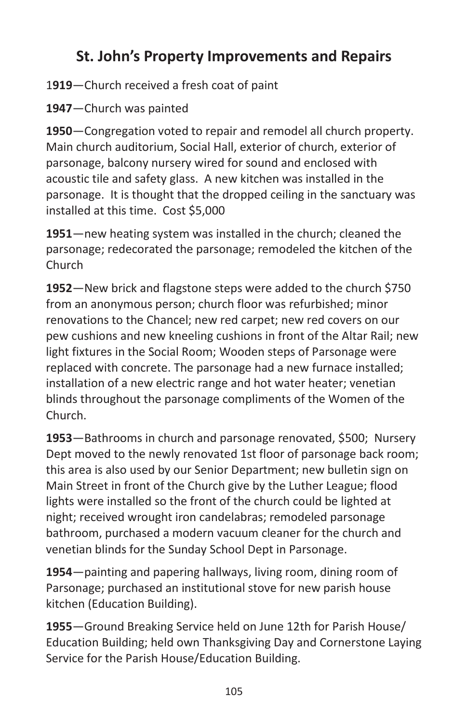# St. John's Property Improvements and Repairs

1919–Church received a fresh coat of paint

1947 – Church was painted

1950–Congregation voted to repair and remodel all church property. Main church auditorium, Social Hall, exterior of church, exterior of parsonage, balcony nursery wired for sound and enclosed with acoustic tile and safety glass. A new kitchen was installed in the parsonage. It is thought that the dropped ceiling in the sanctuary was installed at this time. Cost \$5,000

**1951**—new heating system was installed in the church; cleaned the parsonage; redecorated the parsonage; remodeled the kitchen of the Church

**1952**—New brick and flagstone steps were added to the church \$750 from an anonymous person; church floor was refurbished; minor renovations to the Chancel; new red carpet; new red covers on our pew cushions and new kneeling cushions in front of the Altar Rail; new light fixtures in the Social Room; Wooden steps of Parsonage were replaced with concrete. The parsonage had a new furnace installed; installation of a new electric range and hot water heater; venetian blinds throughout the parsonage compliments of the Women of the Church.

1953 – Bathrooms in church and parsonage renovated, \$500; Nursery Dept moved to the newly renovated 1st floor of parsonage back room; this area is also used by our Senior Department; new bulletin sign on Main Street in front of the Church give by the Luther League; flood lights were installed so the front of the church could be lighted at night; received wrought iron candelabras; remodeled parsonage bathroom, purchased a modern vacuum cleaner for the church and venetian blinds for the Sunday School Dept in Parsonage.

1954 – painting and papering hallways, living room, dining room of Parsonage; purchased an institutional stove for new parish house kitchen (Education Building).

1955 – Ground Breaking Service held on June 12th for Parish House/ Education Building; held own Thanksgiving Day and Cornerstone Laying Service for the Parish House/Education Building.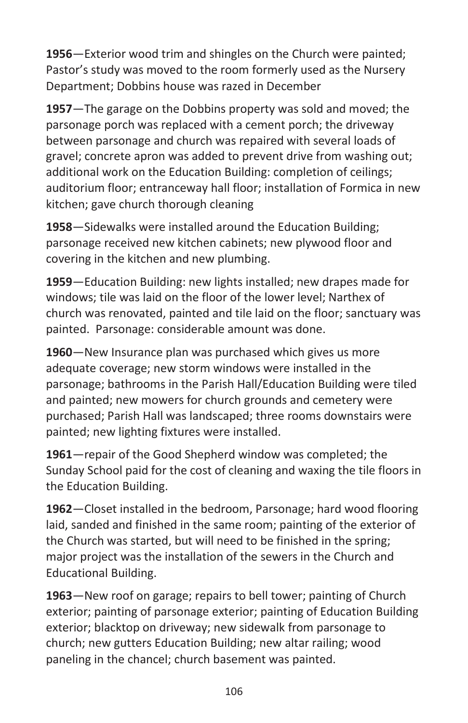1956–Exterior wood trim and shingles on the Church were painted; Pastor's study was moved to the room formerly used as the Nursery Department; Dobbins house was razed in December

1957–The garage on the Dobbins property was sold and moved; the parsonage porch was replaced with a cement porch; the driveway between parsonage and church was repaired with several loads of gravel; concrete apron was added to prevent drive from washing out; additional work on the Education Building: completion of ceilings; auditorium floor; entranceway hall floor; installation of Formica in new kitchen: gave church thorough cleaning

1958 – Sidewalks were installed around the Education Building; parsonage received new kitchen cabinets; new plywood floor and covering in the kitchen and new plumbing.

1959–Education Building: new lights installed; new drapes made for windows; tile was laid on the floor of the lower level; Narthex of church was renovated, painted and tile laid on the floor; sanctuary was painted. Parsonage: considerable amount was done.

**1960**—New Insurance plan was purchased which gives us more adequate coverage; new storm windows were installed in the parsonage; bathrooms in the Parish Hall/Education Building were tiled and painted; new mowers for church grounds and cemetery were purchased; Parish Hall was landscaped; three rooms downstairs were painted; new lighting fixtures were installed.

1961–repair of the Good Shepherd window was completed; the Sunday School paid for the cost of cleaning and waxing the tile floors in the Education Building.

**1962** – Closet installed in the bedroom, Parsonage; hard wood flooring laid, sanded and finished in the same room; painting of the exterior of the Church was started, but will need to be finished in the spring; major project was the installation of the sewers in the Church and Educational Building.

1963–New roof on garage; repairs to bell tower; painting of Church exterior; painting of parsonage exterior; painting of Education Building exterior; blacktop on driveway; new sidewalk from parsonage to church; new gutters Education Building; new altar railing; wood paneling in the chancel; church basement was painted.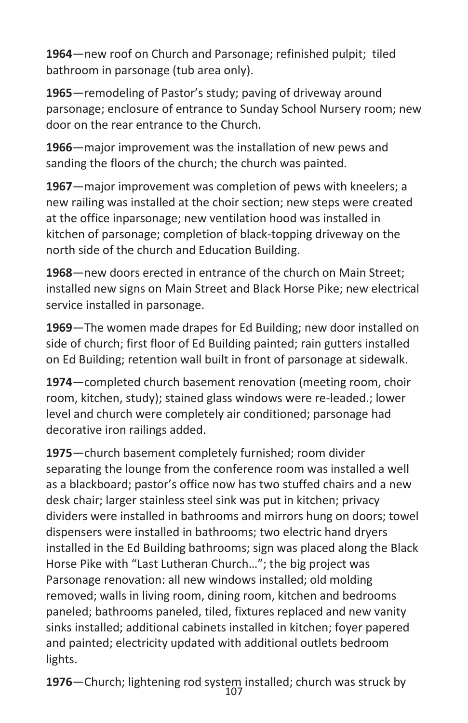1964 – new roof on Church and Parsonage; refinished pulpit; tiled bathroom in parsonage (tub area only).

1965 – remodeling of Pastor's study; paving of driveway around parsonage; enclosure of entrance to Sunday School Nursery room; new door on the rear entrance to the Church.

**1966** – major improvement was the installation of new pews and sanding the floors of the church; the church was painted.

**1967** – major improvement was completion of pews with kneelers; a new railing was installed at the choir section; new steps were created at the office inparsonage; new ventilation hood was installed in kitchen of parsonage; completion of black-topping driveway on the north side of the church and Education Building.

**1968** – new doors erected in entrance of the church on Main Street; installed new signs on Main Street and Black Horse Pike; new electrical service installed in parsonage.

1969–The women made drapes for Ed Building; new door installed on side of church; first floor of Ed Building painted; rain gutters installed on Ed Building; retention wall built in front of parsonage at sidewalk.

1974 – completed church basement renovation (meeting room, choir room, kitchen, study); stained glass windows were re-leaded.; lower level and church were completely air conditioned; parsonage had decorative iron railings added.

1975 – church basement completely furnished; room divider separating the lounge from the conference room was installed a well as a blackboard: pastor's office now has two stuffed chairs and a new desk chair; larger stainless steel sink was put in kitchen; privacy dividers were installed in bathrooms and mirrors hung on doors; towel dispensers were installed in bathrooms; two electric hand dryers installed in the Ed Building bathrooms; sign was placed along the Black Horse Pike with "Last Lutheran Church..."; the big project was Parsonage renovation: all new windows installed; old molding removed; walls in living room, dining room, kitchen and bedrooms paneled; bathrooms paneled, tiled, fixtures replaced and new vanity sinks installed; additional cabinets installed in kitchen; foyer papered and painted; electricity updated with additional outlets bedroom lights.

107 1976–Church; lightening rod system installed; church was struck by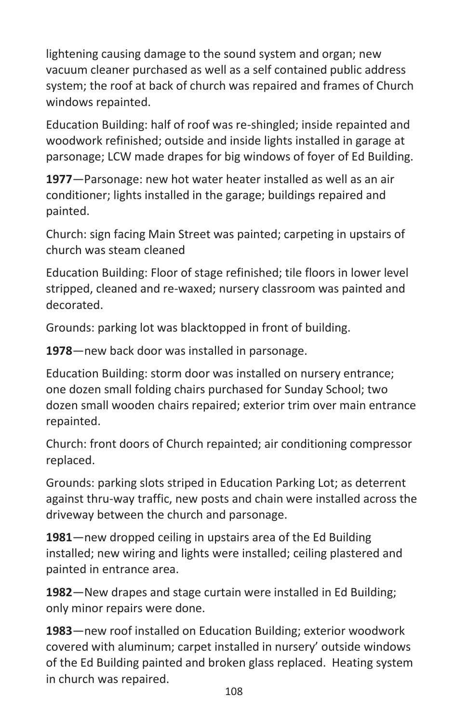lightening causing damage to the sound system and organ; new vacuum cleaner purchased as well as a self contained public address system; the roof at back of church was repaired and frames of Church windows repainted.

Education Building: half of roof was re-shingled; inside repainted and woodwork refinished; outside and inside lights installed in garage at parsonage; LCW made drapes for big windows of foyer of Ed Building.

**1977**—Parsonage: new hot water heater installed as well as an air conditioner; lights installed in the garage; buildings repaired and painted.!!

Church: sign facing Main Street was painted; carpeting in upstairs of church was steam cleaned.

Education Building: Floor of stage refinished; tile floors in lower level stripped, cleaned and re-waxed; nursery classroom was painted and decorated.

Grounds: parking lot was blacktopped in front of building.

1978 – new back door was installed in parsonage.

Education Building: storm door was installed on nursery entrance; one dozen small folding chairs purchased for Sunday School; two dozen small wooden chairs repaired; exterior trim over main entrance repainted.

Church: front doors of Church repainted; air conditioning compressor replaced.

Grounds: parking slots striped in Education Parking Lot; as deterrent against thru-way traffic, new posts and chain were installed across the driveway between the church and parsonage.

1981—new dropped ceiling in upstairs area of the Ed Building installed; new wiring and lights were installed; ceiling plastered and painted in entrance area.

1982–New drapes and stage curtain were installed in Ed Building; only minor repairs were done.

1983 – new roof installed on Education Building; exterior woodwork covered with aluminum; carpet installed in nursery' outside windows of the Ed Building painted and broken glass replaced. Heating system in church was repaired.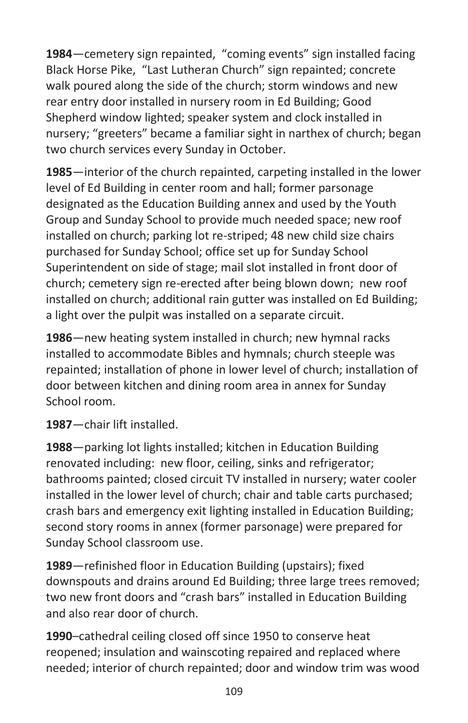1984 – cemetery sign repainted, "coming events" sign installed facing Black Horse Pike, "Last Lutheran Church" sign repainted; concrete walk poured along the side of the church; storm windows and new rear entry door installed in nursery room in Ed Building; Good Shepherd window lighted; speaker system and clock installed in nursery; "greeters" became a familiar sight in narthex of church; began two church services every Sunday in October.

**1985**—interior of the church repainted, carpeting installed in the lower level of Ed Building in center room and hall; former parsonage designated as the Education Building annex and used by the Youth Group and Sunday School to provide much needed space; new roof installed on church; parking lot re-striped; 48 new child size chairs purchased for Sunday School; office set up for Sunday School Superintendent on side of stage; mail slot installed in front door of church; cemetery sign re-erected after being blown down; new roof installed on church; additional rain gutter was installed on Ed Building; a light over the pulpit was installed on a separate circuit.

**1986** – new heating system installed in church; new hymnal racks installed to accommodate Bibles and hymnals; church steeple was repainted; installation of phone in lower level of church; installation of door between kitchen and dining room area in annex for Sunday School room.

1987-chair lift installed.

1988 – parking lot lights installed; kitchen in Education Building renovated including: new floor, ceiling, sinks and refrigerator; bathrooms painted; closed circuit TV installed in nursery; water cooler installed in the lower level of church; chair and table carts purchased; crash bars and emergency exit lighting installed in Education Building; second story rooms in annex (former parsonage) were prepared for Sunday School classroom use.

**1989**—refinished floor in Education Building (upstairs); fixed downspouts and drains around Ed Building; three large trees removed; two new front doors and "crash bars" installed in Education Building and also rear door of church.

**1990**–cathedral ceiling closed off since 1950 to conserve heat reopened; insulation and wainscoting repaired and replaced where needed; interior of church repainted; door and window trim was wood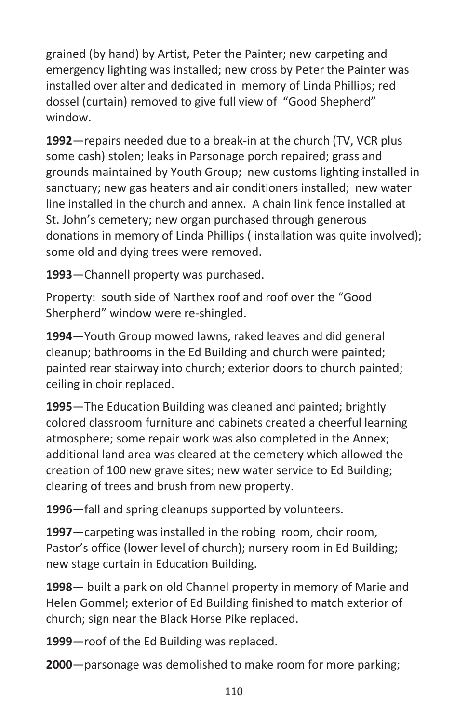grained (by hand) by Artist, Peter the Painter; new carpeting and emergency lighting was installed; new cross by Peter the Painter was installed over alter and dedicated in memory of Linda Phillips; red dossel (curtain) removed to give full view of "Good Shepherd" window.

**1992** – repairs needed due to a break-in at the church (TV, VCR plus some cash) stolen; leaks in Parsonage porch repaired; grass and grounds maintained by Youth Group; new customs lighting installed in sanctuary; new gas heaters and air conditioners installed; new water line installed in the church and annex. A chain link fence installed at St. John's cemetery; new organ purchased through generous donations in memory of Linda Phillips ( installation was quite involved); some old and dying trees were removed.

1993 – Channell property was purchased.

Property: south side of Narthex roof and roof over the "Good Sherpherd" window were re-shingled.

1994–Youth Group mowed lawns, raked leaves and did general cleanup; bathrooms in the Ed Building and church were painted; painted rear stairway into church; exterior doors to church painted; ceiling in choir replaced.

**1995**—The Education Building was cleaned and painted; brightly colored classroom furniture and cabinets created a cheerful learning atmosphere; some repair work was also completed in the Annex; additional land area was cleared at the cemetery which allowed the creation of 100 new grave sites; new water service to Ed Building; clearing of trees and brush from new property.

1996–fall and spring cleanups supported by volunteers.

**1997**—carpeting was installed in the robing room, choir room, Pastor's office (lower level of church); nursery room in Ed Building; new stage curtain in Education Building.

1998 – built a park on old Channel property in memory of Marie and Helen Gommel; exterior of Ed Building finished to match exterior of church; sign near the Black Horse Pike replaced.

1999 – roof of the Ed Building was replaced.

**2000** – parsonage was demolished to make room for more parking;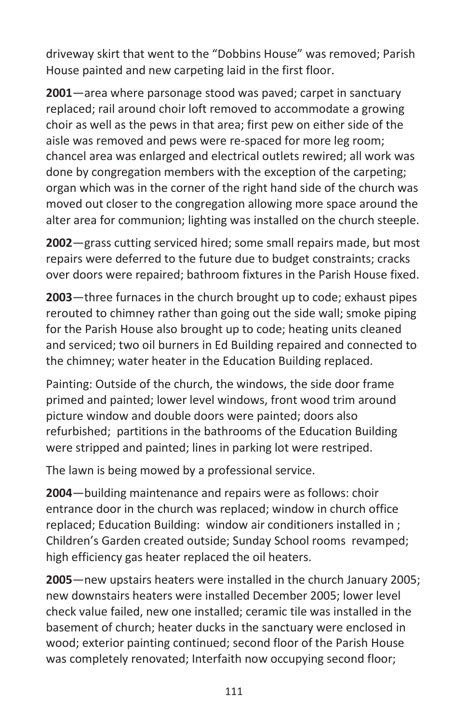driveway skirt that went to the "Dobbins House" was removed; Parish House painted and new carpeting laid in the first floor.

**2001** – area where parsonage stood was paved; carpet in sanctuary replaced; rail around choir loft removed to accommodate a growing choir as well as the pews in that area; first pew on either side of the aisle was removed and pews were re-spaced for more leg room; chancel area was enlarged and electrical outlets rewired; all work was done by congregation members with the exception of the carpeting; organ which was in the corner of the right hand side of the church was moved out closer to the congregation allowing more space around the alter area for communion; lighting was installed on the church steeple.

**2002** – grass cutting serviced hired; some small repairs made, but most repairs were deferred to the future due to budget constraints; cracks over doors were repaired; bathroom fixtures in the Parish House fixed.

**2003**—three furnaces in the church brought up to code; exhaust pipes rerouted to chimney rather than going out the side wall; smoke piping for the Parish House also brought up to code; heating units cleaned and serviced; two oil burners in Ed Building repaired and connected to the chimney; water heater in the Education Building replaced.

Painting: Outside of the church, the windows, the side door frame primed and painted; lower level windows, front wood trim around picture window and double doors were painted; doors also refurbished; partitions in the bathrooms of the Education Building were stripped and painted; lines in parking lot were restriped.

The lawn is being mowed by a professional service.

**2004** – building maintenance and repairs were as follows: choir entrance door in the church was replaced; window in church office replaced; Education Building: window air conditioners installed in ; Children's Garden created outside; Sunday School rooms revamped; high efficiency gas heater replaced the oil heaters.

**2005** – new upstairs heaters were installed in the church January 2005; new downstairs heaters were installed December 2005; lower level check value failed, new one installed; ceramic tile was installed in the basement of church; heater ducks in the sanctuary were enclosed in wood; exterior painting continued; second floor of the Parish House was completely renovated; Interfaith now occupying second floor;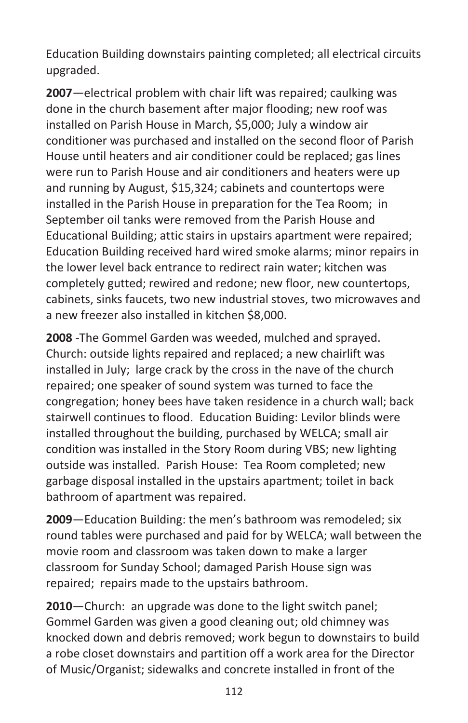Education Building downstairs painting completed; all electrical circuits upgraded.

**2007** – electrical problem with chair lift was repaired; caulking was done in the church basement after major flooding; new roof was installed on Parish House in March, \$5,000; July a window air conditioner was purchased and installed on the second floor of Parish House until heaters and air conditioner could be replaced; gas lines were run to Parish House and air conditioners and heaters were up and running by August, \$15,324; cabinets and countertops were installed in the Parish House in preparation for the Tea Room; in September oil tanks were removed from the Parish House and Educational Building; attic stairs in upstairs apartment were repaired; Education Building received hard wired smoke alarms; minor repairs in the lower level back entrance to redirect rain water; kitchen was completely gutted; rewired and redone; new floor, new countertops, cabinets, sinks faucets, two new industrial stoves, two microwaves and a new freezer also installed in kitchen \$8,000.

**2008** - The Gommel Garden was weeded, mulched and sprayed. Church: outside lights repaired and replaced; a new chairlift was installed in July; large crack by the cross in the nave of the church repaired; one speaker of sound system was turned to face the congregation; honey bees have taken residence in a church wall; back stairwell continues to flood. Education Buiding: Levilor blinds were installed throughout the building, purchased by WELCA; small air condition was installed in the Story Room during VBS; new lighting outside was installed. Parish House: Tea Room completed; new garbage disposal installed in the upstairs apartment; toilet in back bathroom of apartment was repaired.

**2009** – Education Building: the men's bathroom was remodeled; six round tables were purchased and paid for by WELCA; wall between the movie room and classroom was taken down to make a larger classroom for Sunday School; damaged Parish House sign was repaired; repairs made to the upstairs bathroom.

**2010** – Church: an upgrade was done to the light switch panel; Gommel Garden was given a good cleaning out; old chimney was knocked down and debris removed; work begun to downstairs to build a robe closet downstairs and partition off a work area for the Director of Music/Organist; sidewalks and concrete installed in front of the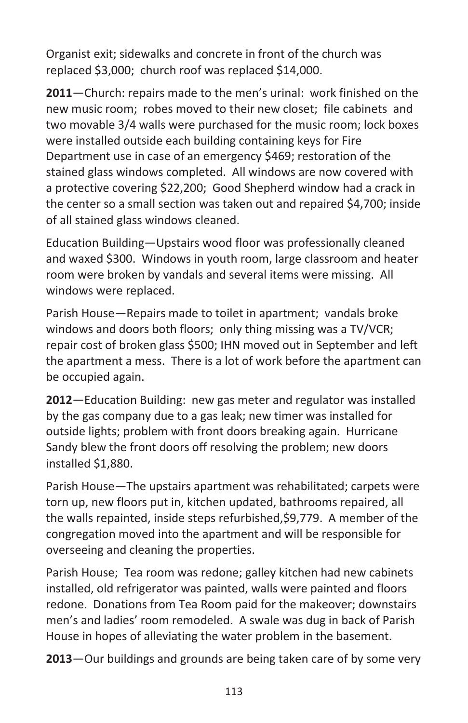Organist exit; sidewalks and concrete in front of the church was replaced \$3,000; church roof was replaced \$14,000.

**2011** – Church: repairs made to the men's urinal: work finished on the new music room; robes moved to their new closet; file cabinets and two movable 3/4 walls were purchased for the music room; lock boxes were installed outside each building containing keys for Fire Department use in case of an emergency \$469; restoration of the stained glass windows completed. All windows are now covered with a protective covering \$22,200; Good Shepherd window had a crack in the center so a small section was taken out and repaired \$4,700; inside of all stained glass windows cleaned.

Education Building-Upstairs wood floor was professionally cleaned and waxed \$300. Windows in youth room, large classroom and heater room were broken by vandals and several items were missing. All windows were replaced.

Parish House-Repairs made to toilet in apartment; vandals broke windows and doors both floors; only thing missing was a TV/VCR; repair cost of broken glass \$500; IHN moved out in September and left the apartment a mess. There is a lot of work before the apartment can be occupied again.

**2012** – Education Building: new gas meter and regulator was installed by the gas company due to a gas leak; new timer was installed for outside lights; problem with front doors breaking again. Hurricane Sandy blew the front doors off resolving the problem; new doors installed  $$1,880$ .

Parish House–The upstairs apartment was rehabilitated; carpets were torn up, new floors put in, kitchen updated, bathrooms repaired, all the walls repainted, inside steps refurbished, \$9,779. A member of the congregation moved into the apartment and will be responsible for overseeing and cleaning the properties.

Parish House; Tea room was redone; galley kitchen had new cabinets installed, old refrigerator was painted, walls were painted and floors redone. Donations from Tea Room paid for the makeover; downstairs men's and ladies' room remodeled. A swale was dug in back of Parish House in hopes of alleviating the water problem in the basement.

**2013** – Our buildings and grounds are being taken care of by some very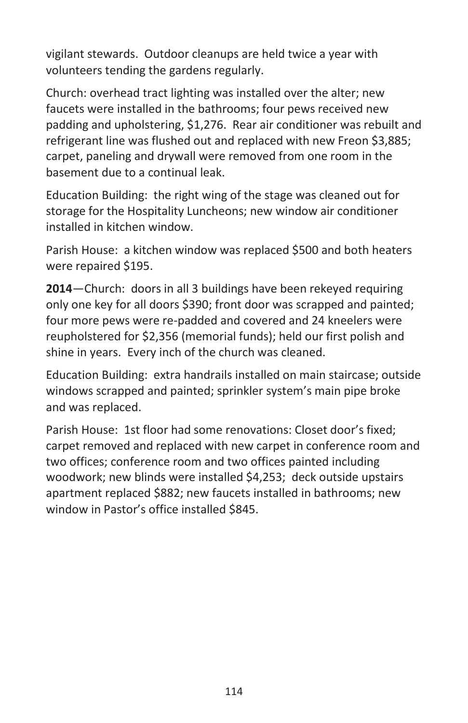vigilant stewards. Outdoor cleanups are held twice a year with volunteers tending the gardens regularly.

Church: overhead tract lighting was installed over the alter; new faucets were installed in the bathrooms; four pews received new padding and upholstering, \$1,276. Rear air conditioner was rebuilt and refrigerant line was flushed out and replaced with new Freon \$3,885; carpet, paneling and drywall were removed from one room in the basement due to a continual leak.

Education Building: the right wing of the stage was cleaned out for storage for the Hospitality Luncheons; new window air conditioner installed in kitchen window.

Parish House: a kitchen window was replaced \$500 and both heaters were repaired \$195.

**2014** – Church: doors in all 3 buildings have been rekeyed requiring only one key for all doors \$390; front door was scrapped and painted; four more pews were re-padded and covered and 24 kneelers were reupholstered for \$2,356 (memorial funds); held our first polish and shine in years. Every inch of the church was cleaned.

Education Building: extra handrails installed on main staircase; outside windows scrapped and painted; sprinkler system's main pipe broke and was replaced.

Parish House: 1st floor had some renovations: Closet door's fixed: carpet removed and replaced with new carpet in conference room and two offices; conference room and two offices painted including woodwork; new blinds were installed \$4,253; deck outside upstairs apartment replaced \$882; new faucets installed in bathrooms; new window in Pastor's office installed \$845.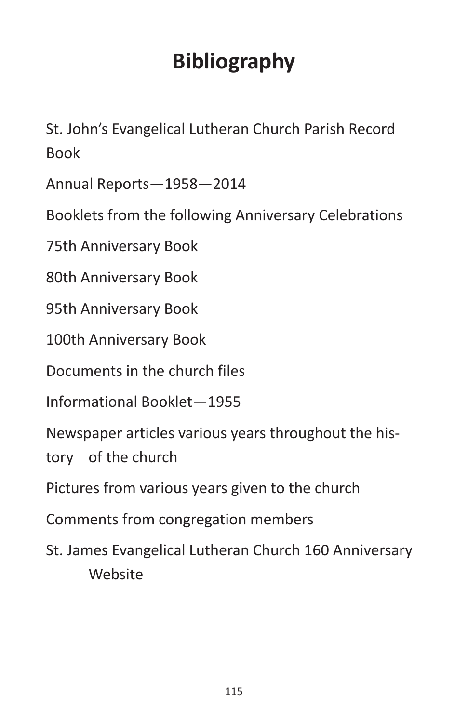# **Bibliography**

St. John's Evangelical Lutheran Church Parish Record Book

Annual Reports-1958-2014

Booklets from the following Anniversary Celebrations

75th Anniversary Book

80th Anniversary Book

95th Anniversary Book

100th Anniversary Book

Documents in the church files

Informational Booklet-1955

Newspaper articles various years throughout the his-

tory of the church

Pictures from various years given to the church

Comments from congregation members

St. James Evangelical Lutheran Church 160 Anniversary Website